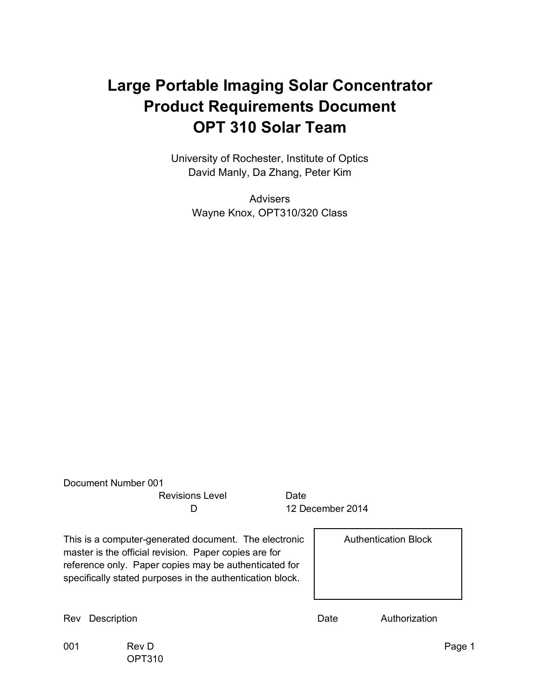#### **Large Portable Imaging Solar Concentrator Product Requirements Document OPT 310 Solar Team**

University of Rochester, Institute of Optics David Manly, Da Zhang, Peter Kim

**Advisers** Wayne Knox, OPT310/320 Class

|                                                                                                                                                                                                                                      | Document Number 001 |                 |      |                             |               |        |
|--------------------------------------------------------------------------------------------------------------------------------------------------------------------------------------------------------------------------------------|---------------------|-----------------|------|-----------------------------|---------------|--------|
|                                                                                                                                                                                                                                      |                     | Revisions Level | Date |                             |               |        |
|                                                                                                                                                                                                                                      |                     | D               |      | 12 December 2014            |               |        |
| This is a computer-generated document. The electronic<br>master is the official revision. Paper copies are for<br>reference only. Paper copies may be authenticated for<br>specifically stated purposes in the authentication block. |                     |                 |      | <b>Authentication Block</b> |               |        |
| Rev                                                                                                                                                                                                                                  | Description         |                 |      | Date                        | Authorization |        |
| 001                                                                                                                                                                                                                                  | Rev D<br>OPT310     |                 |      |                             |               | Page 1 |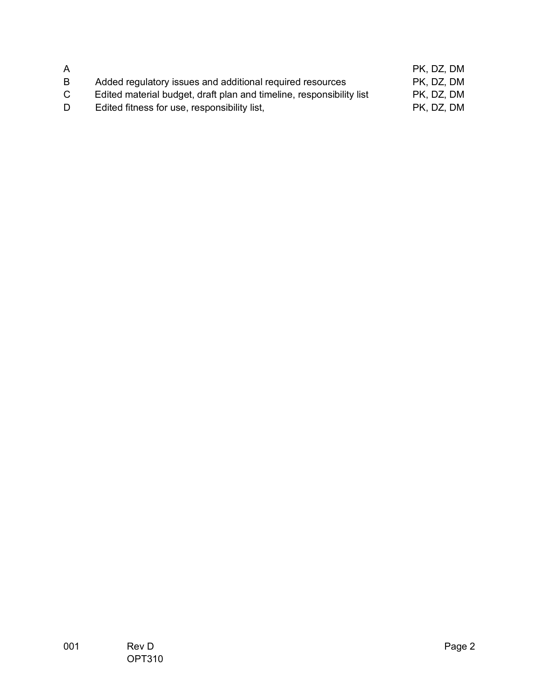| A  |                                                                      | PK, DZ, DM |
|----|----------------------------------------------------------------------|------------|
| B  | Added regulatory issues and additional required resources            | PK, DZ, DM |
| C. | Edited material budget, draft plan and timeline, responsibility list | PK, DZ, DM |
| D  | Edited fitness for use, responsibility list,                         | PK, DZ, DM |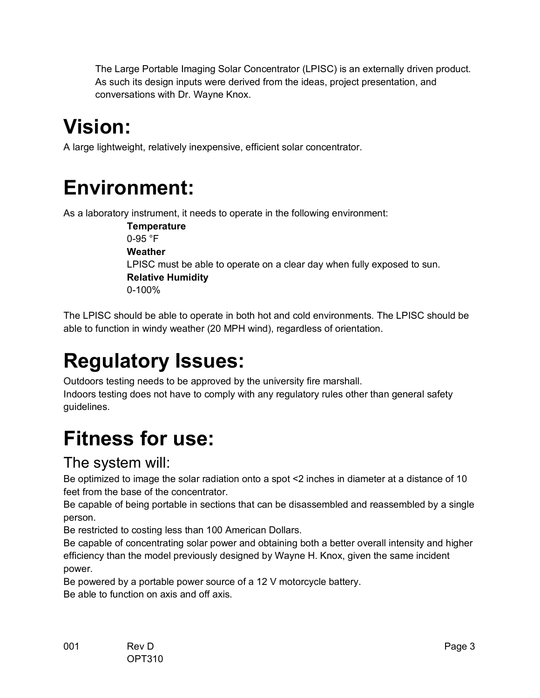The Large Portable Imaging Solar Concentrator (LPISC) is an externally driven product. As such its design inputs were derived from the ideas, project presentation, and conversations with Dr. Wayne Knox.

## **Vision:**

A large lightweight, relatively inexpensive, efficient solar concentrator.

### **Environment:**

As a laboratory instrument, it needs to operate in the following environment:

 **Temperature** 0-95 °F **Weather** LPISC must be able to operate on a clear day when fully exposed to sun. **Relative Humidity** 0-100%

The LPISC should be able to operate in both hot and cold environments. The LPISC should be able to function in windy weather (20 MPH wind), regardless of orientation.

# **Regulatory Issues:**

Outdoors testing needs to be approved by the university fire marshall. Indoors testing does not have to comply with any regulatory rules other than general safety guidelines.

## **Fitness for use:**

#### The system will:

Be optimized to image the solar radiation onto a spot <2 inches in diameter at a distance of 10 feet from the base of the concentrator.

Be capable of being portable in sections that can be disassembled and reassembled by a single person.

Be restricted to costing less than 100 American Dollars.

Be capable of concentrating solar power and obtaining both a better overall intensity and higher efficiency than the model previously designed by Wayne H. Knox, given the same incident power.

Be powered by a portable power source of a 12 V motorcycle battery. Be able to function on axis and off axis.